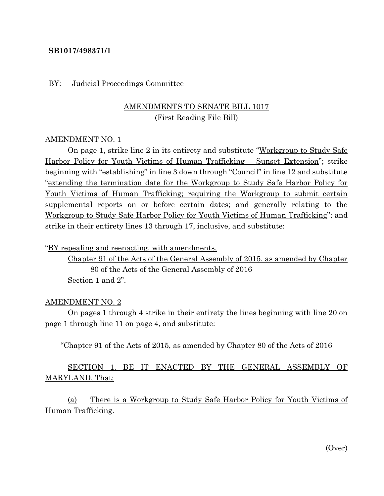### **SB1017/498371/1**

#### BY: Judicial Proceedings Committee

# AMENDMENTS TO SENATE BILL 1017 (First Reading File Bill)

#### AMENDMENT NO. 1

On page 1, strike line 2 in its entirety and substitute "Workgroup to Study Safe" Harbor Policy for Youth Victims of Human Trafficking – Sunset Extension"; strike beginning with "establishing" in line 3 down through "Council" in line 12 and substitute "extending the termination date for the Workgroup to Study Safe Harbor Policy for Youth Victims of Human Trafficking; requiring the Workgroup to submit certain supplemental reports on or before certain dates; and generally relating to the Workgroup to Study Safe Harbor Policy for Youth Victims of Human Trafficking"; and strike in their entirety lines 13 through 17, inclusive, and substitute:

"BY repealing and reenacting, with amendments,

Chapter 91 of the Acts of the General Assembly of 2015, as amended by Chapter 80 of the Acts of the General Assembly of 2016 Section 1 and 2".

#### AMENDMENT NO. 2

On pages 1 through 4 strike in their entirety the lines beginning with line 20 on page 1 through line 11 on page 4, and substitute:

#### "Chapter 91 of the Acts of 2015, as amended by Chapter 80 of the Acts of 2016

# SECTION 1. BE IT ENACTED BY THE GENERAL ASSEMBLY OF MARYLAND, That:

(a) There is a Workgroup to Study Safe Harbor Policy for Youth Victims of Human Trafficking.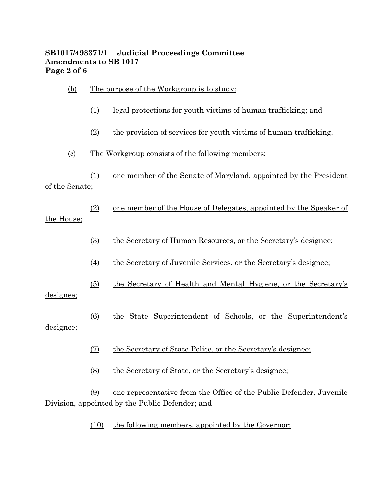## **SB1017/498371/1 Judicial Proceedings Committee Amendments to SB 1017 Page 2 of 6**

| (b)                         |                  | <u>The purpose of the Workgroup is to study:</u>                                                                       |  |  |
|-----------------------------|------------------|------------------------------------------------------------------------------------------------------------------------|--|--|
|                             | (1)              | <u>legal protections for youth victims of human trafficking; and</u>                                                   |  |  |
|                             | (2)              | the provision of services for youth victims of human trafficking.                                                      |  |  |
| $\left( \mathrm{c} \right)$ |                  | <u>The Workgroup consists of the following members:</u>                                                                |  |  |
| of the Senate:              | (1)              | one member of the Senate of Maryland, appointed by the President                                                       |  |  |
| the House;                  | (2)              | one member of the House of Delegates, appointed by the Speaker of                                                      |  |  |
|                             | (3)              | the Secretary of Human Resources, or the Secretary's designee;                                                         |  |  |
|                             | $\left(4\right)$ | the Secretary of Juvenile Services, or the Secretary's designee;                                                       |  |  |
| designee;<br>designee;      | (5)              | the Secretary of Health and Mental Hygiene, or the Secretary's                                                         |  |  |
|                             | (6)              | the State Superintendent of Schools, or the Superintendent's                                                           |  |  |
|                             | (7)              | the Secretary of State Police, or the Secretary's designee;                                                            |  |  |
|                             | (8)              | the Secretary of State, or the Secretary's designee;                                                                   |  |  |
|                             | (9)              | one representative from the Office of the Public Defender, Juvenile<br>Division, appointed by the Public Defender; and |  |  |
|                             | (10)             | the following members, appointed by the Governor:                                                                      |  |  |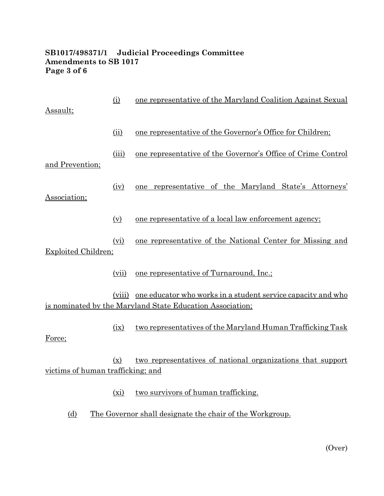# **SB1017/498371/1 Judicial Proceedings Committee Amendments to SB 1017 Page 3 of 6**

| Assault;                          | (i)   | one representative of the Maryland Coalition Against Sexual                                                                      |
|-----------------------------------|-------|----------------------------------------------------------------------------------------------------------------------------------|
|                                   | (ii)  | one representative of the Governor's Office for Children;                                                                        |
| and Prevention;                   | (iii) | one representative of the Governor's Office of Crime Control                                                                     |
| Association;                      | (iv)  | one representative of the Maryland State's Attorneys'                                                                            |
|                                   | (v)   | one representative of a local law enforcement agency;                                                                            |
| <b>Exploited Children;</b>        | (vi)  | one representative of the National Center for Missing and                                                                        |
|                                   | (vii) | <u>one representative of Turnaround, Inc.;</u>                                                                                   |
|                                   |       | (viii) one educator who works in a student service capacity and who<br>is nominated by the Maryland State Education Association; |
| Force;                            | (ix)  | two representatives of the Maryland Human Trafficking Task                                                                       |
| victims of human trafficking; and | (x)   | two representatives of national organizations that support                                                                       |
|                                   | (xi)  | two survivors of human trafficking.                                                                                              |

(d) The Governor shall designate the chair of the Workgroup.

(Over)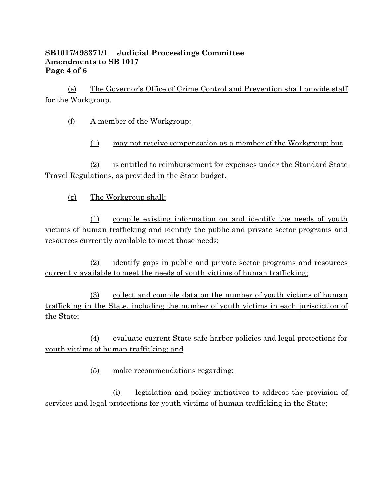## **SB1017/498371/1 Judicial Proceedings Committee Amendments to SB 1017 Page 4 of 6**

(e) The Governor's Office of Crime Control and Prevention shall provide staff for the Workgroup.

(f) A member of the Workgroup:

(1) may not receive compensation as a member of the Workgroup; but

(2) is entitled to reimbursement for expenses under the Standard State Travel Regulations, as provided in the State budget.

(g) The Workgroup shall:

(1) compile existing information on and identify the needs of youth victims of human trafficking and identify the public and private sector programs and resources currently available to meet those needs;

(2) identify gaps in public and private sector programs and resources currently available to meet the needs of youth victims of human trafficking;

(3) collect and compile data on the number of youth victims of human trafficking in the State, including the number of youth victims in each jurisdiction of the State;

(4) evaluate current State safe harbor policies and legal protections for youth victims of human trafficking; and

(5) make recommendations regarding:

(i) legislation and policy initiatives to address the provision of services and legal protections for youth victims of human trafficking in the State;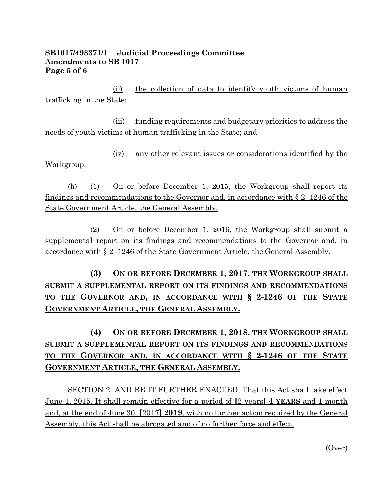## **SB1017/498371/1 Judicial Proceedings Committee Amendments to SB 1017 Page 5 of 6**

(ii) the collection of data to identify youth victims of human trafficking in the State;

(iii) funding requirements and budgetary priorities to address the needs of youth victims of human trafficking in the State; and

(iv) any other relevant issues or considerations identified by the Workgroup.

(h) (1) On or before December 1, 2015, the Workgroup shall report its findings and recommendations to the Governor and, in accordance with  $\S 2-1246$  of the State Government Article, the General Assembly.

(2) On or before December 1, 2016, the Workgroup shall submit a supplemental report on its findings and recommendations to the Governor and, in accordance with § 2–1246 of the State Government Article, the General Assembly.

**(3) ON OR BEFORE DECEMBER 1, 2017, THE WORKGROUP SHALL SUBMIT A SUPPLEMENTAL REPORT ON ITS FINDINGS AND RECOMMENDATIONS TO THE GOVERNOR AND, IN ACCORDANCE WITH § 2-1246 OF THE STATE GOVERNMENT ARTICLE, THE GENERAL ASSEMBLY.**

# **(4) ON OR BEFORE DECEMBER 1, 2018, THE WORKGROUP SHALL SUBMIT A SUPPLEMENTAL REPORT ON ITS FINDINGS AND RECOMMENDATIONS TO THE GOVERNOR AND, IN ACCORDANCE WITH § 2-1246 OF THE STATE GOVERNMENT ARTICLE, THE GENERAL ASSEMBLY.**

SECTION 2. AND BE IT FURTHER ENACTED, That this Act shall take effect June 1, 2015. It shall remain effective for a period of **[**2 years**] 4 YEARS** and 1 month and, at the end of June 30, **[**2017**] 2019**, with no further action required by the General Assembly, this Act shall be abrogated and of no further force and effect.

(Over)